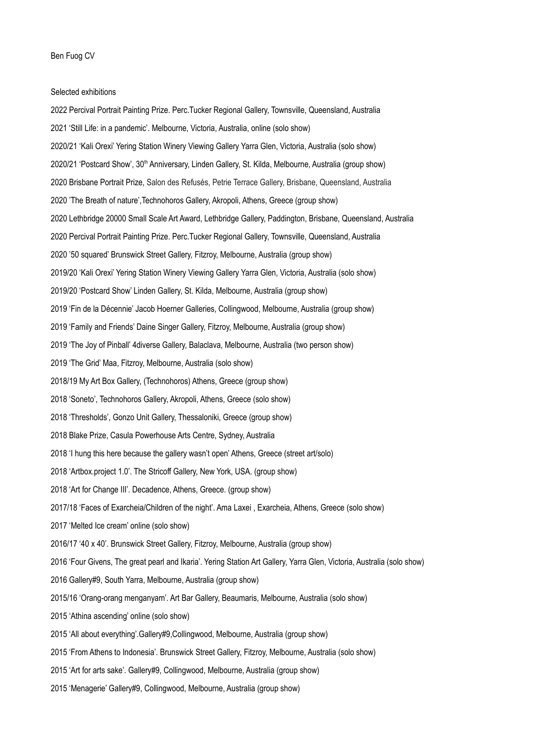## Selected exhibitions

2022 Percival Portrait Painting Prize. Perc.Tucker Regional Gallery, Townsville, Queensland, Australia 2021 'Still Life: in a pandemic'. Melbourne, Victoria, Australia, online (solo show) 2020/21 'Kali Orexi' Yering Station Winery Viewing Gallery Yarra Glen, Victoria, Australia (solo show) 2020/21 'Postcard Show', 30<sup>th</sup> Anniversary, Linden Gallery, St. Kilda, Melbourne, Australia (group show) 2020 Brisbane Portrait Prize, Salon des Refusés, Petrie Terrace Gallery, Brisbane, Queensland, Australia 2020 'The Breath of nature',Technohoros Gallery, Akropoli, Athens, Greece (group show) 2020 Lethbridge 20000 Small Scale Art Award, Lethbridge Gallery, Paddington, Brisbane, Queensland, Australia 2020 Percival Portrait Painting Prize. Perc.Tucker Regional Gallery, Townsville, Queensland, Australia 2020 '50 squared' Brunswick Street Gallery, Fitzroy, Melbourne, Australia (group show) 2019/20 'Kali Orexi' Yering Station Winery Viewing Gallery Yarra Glen, Victoria, Australia (solo show) 2019/20 'Postcard Show' Linden Gallery, St. Kilda, Melbourne, Australia (group show) 2019 'Fin de la Décennie' Jacob Hoerner Galleries, Collingwood, Melbourne, Australia (group show) 2019 'Family and Friends' Daine Singer Gallery, Fitzroy, Melbourne, Australia (group show) 2019 'The Joy of Pinball' 4diverse Gallery, Balaclava, Melbourne, Australia (two person show) 2019 'The Grid' Maa, Fitzroy, Melbourne, Australia (solo show) 2018/19 My Art Box Gallery, (Technohoros) Athens, Greece (group show) 2018 'Soneto', Technohoros Gallery, Akropoli, Athens, Greece (solo show) 2018 'Thresholds', Gonzo Unit Gallery, Thessaloniki, Greece (group show) 2018 Blake Prize, Casula Powerhouse Arts Centre, Sydney, Australia 2018 'I hung this here because the gallery wasn't open' Athens, Greece (street art/solo) 2018 'Artbox.project 1.0'. The Stricoff Gallery, New York, USA. (group show) 2018 'Art for Change III'. Decadence, Athens, Greece. (group show) 2017/18 'Faces of Exarcheia/Children of the night'. Ama Laxei , Exarcheia, Athens, Greece (solo show) 2017 'Melted Ice cream' online (solo show) 2016/17 '40 x 40'. Brunswick Street Gallery, Fitzroy, Melbourne, Australia (group show) 2016 'Four Givens, The great pearl and Ikaria'. Yering Station Art Gallery, Yarra Glen, Victoria, Australia (solo show) 2016 Gallery#9, South Yarra, Melbourne, Australia (group show) 2015/16 'Orang-orang menganyam'. Art Bar Gallery, Beaumaris, Melbourne, Australia (solo show) 2015 'Athina ascending' online (solo show) 2015 'All about everything'.Gallery#9,Collingwood, Melbourne, Australia (group show) 2015 'From Athens to Indonesia'. Brunswick Street Gallery, Fitzroy, Melbourne, Australia (solo show) 2015 'Art for arts sake'. Gallery#9, Collingwood, Melbourne, Australia (group show) 2015 'Menagerie' Gallery#9, Collingwood, Melbourne, Australia (group show)